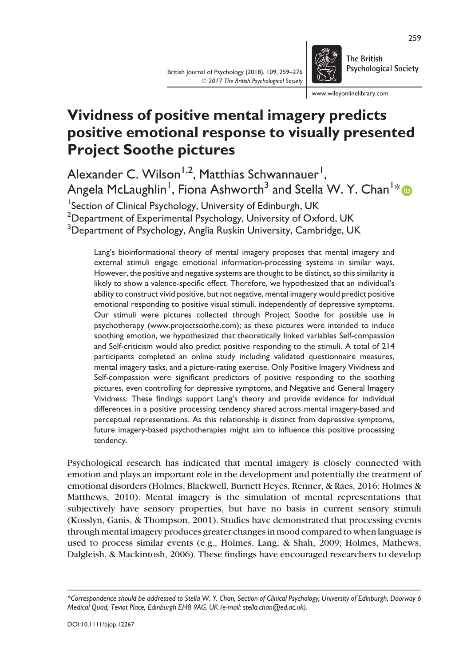

The British **Psychological Society** 

www.wileyonlinelibrary.com

# Vividness of positive mental imagery predicts positive emotional response to visually presented Project Soothe pictures

Alexander C. Wilson<sup>1,2</sup>, Matthias Schwannauer<sup>1</sup>, Angela McLaughlin<sup>1</sup>, Fiona Ashworth $^3$  and Stella W. Y. Chan $^{\mathsf{I}_\ast\!\!}$ <sup>1</sup>Section of Clinical Psychology, University of Edinburgh, UK  $^2$ Department of Experimental Psychology, University of Oxford, UK  $^3$ Department of Psychology, Anglia Ruskin University, Cambridge, UK

Lang's bioinformational theory of mental imagery proposes that mental imagery and external stimuli engage emotional information-processing systems in similar ways. However, the positive and negative systems are thought to be distinct, so this similarity is likely to show a valence-specific effect. Therefore, we hypothesized that an individual's ability to construct vivid positive, but not negative, mental imagery would predict positive emotional responding to positive visual stimuli, independently of depressive symptoms. Our stimuli were pictures collected through Project Soothe for possible use in psychotherapy [\(www.projectsoothe.com\)](http://www.projectsoothe.com); as these pictures were intended to induce soothing emotion, we hypothesized that theoretically linked variables Self-compassion and Self-criticism would also predict positive responding to the stimuli. A total of 214 participants completed an online study including validated questionnaire measures, mental imagery tasks, and a picture-rating exercise. Only Positive Imagery Vividness and Self-compassion were significant predictors of positive responding to the soothing pictures, even controlling for depressive symptoms, and Negative and General Imagery Vividness. These findings support Lang's theory and provide evidence for individual differences in a positive processing tendency shared across mental imagery-based and perceptual representations. As this relationship is distinct from depressive symptoms, future imagery-based psychotherapies might aim to influence this positive processing tendency.

Psychological research has indicated that mental imagery is closely connected with emotion and plays an important role in the development and potentially the treatment of emotional disorders (Holmes, Blackwell, Burnett Heyes, Renner, & Raes, 2016; Holmes & Matthews, 2010). Mental imagery is the simulation of mental representations that subjectively have sensory properties, but have no basis in current sensory stimuli (Kosslyn, Ganis, & Thompson, 2001). Studies have demonstrated that processing events through mental imagery produces greater changes in mood compared to when language is used to process similar events (e.g., Holmes, Lang, & Shah, 2009; Holmes, Mathews, Dalgleish, & Mackintosh, 2006). These findings have encouraged researchers to develop

<sup>\*</sup>Correspondence should be addressed to Stella W. Y. Chan, Section of Clinical Psychology, University of Edinburgh, Doorway 6 Medical Quad, Teviot Place, Edinburgh EH8 9AG, UK (e-mail: stella.chan@ed.ac.uk).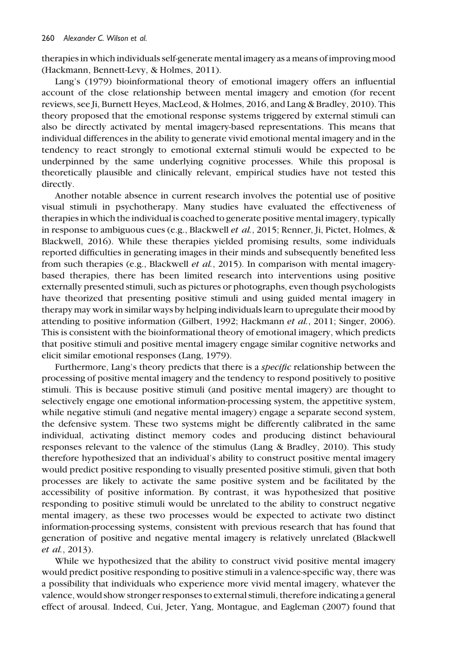therapies in which individuals self-generate mental imagery as a means of improving mood (Hackmann, Bennett-Levy, & Holmes, 2011).

Lang's (1979) bioinformational theory of emotional imagery offers an influential account of the close relationship between mental imagery and emotion (for recent reviews, see Ji, Burnett Heyes, MacLeod, & Holmes, 2016, and Lang & Bradley, 2010). This theory proposed that the emotional response systems triggered by external stimuli can also be directly activated by mental imagery-based representations. This means that individual differences in the ability to generate vivid emotional mental imagery and in the tendency to react strongly to emotional external stimuli would be expected to be underpinned by the same underlying cognitive processes. While this proposal is theoretically plausible and clinically relevant, empirical studies have not tested this directly.

Another notable absence in current research involves the potential use of positive visual stimuli in psychotherapy. Many studies have evaluated the effectiveness of therapies in which the individual is coached to generate positive mental imagery, typically in response to ambiguous cues (e.g., Blackwell et al., 2015; Renner, Ji, Pictet, Holmes, & Blackwell, 2016). While these therapies yielded promising results, some individuals reported difficulties in generating images in their minds and subsequently benefited less from such therapies (e.g., Blackwell *et al.*, 2015). In comparison with mental imagerybased therapies, there has been limited research into interventions using positive externally presented stimuli, such as pictures or photographs, even though psychologists have theorized that presenting positive stimuli and using guided mental imagery in therapy may work in similar ways by helping individuals learn to upregulate their mood by attending to positive information (Gilbert, 1992; Hackmann et al., 2011; Singer, 2006). This is consistent with the bioinformational theory of emotional imagery, which predicts that positive stimuli and positive mental imagery engage similar cognitive networks and elicit similar emotional responses (Lang, 1979).

Furthermore, Lang's theory predicts that there is a specific relationship between the processing of positive mental imagery and the tendency to respond positively to positive stimuli. This is because positive stimuli (and positive mental imagery) are thought to selectively engage one emotional information-processing system, the appetitive system, while negative stimuli (and negative mental imagery) engage a separate second system, the defensive system. These two systems might be differently calibrated in the same individual, activating distinct memory codes and producing distinct behavioural responses relevant to the valence of the stimulus (Lang & Bradley, 2010). This study therefore hypothesized that an individual's ability to construct positive mental imagery would predict positive responding to visually presented positive stimuli, given that both processes are likely to activate the same positive system and be facilitated by the accessibility of positive information. By contrast, it was hypothesized that positive responding to positive stimuli would be unrelated to the ability to construct negative mental imagery, as these two processes would be expected to activate two distinct information-processing systems, consistent with previous research that has found that generation of positive and negative mental imagery is relatively unrelated (Blackwell et al., 2013).

While we hypothesized that the ability to construct vivid positive mental imagery would predict positive responding to positive stimuli in a valence-specific way, there was a possibility that individuals who experience more vivid mental imagery, whatever the valence, would show stronger responses to external stimuli, therefore indicating a general effect of arousal. Indeed, Cui, Jeter, Yang, Montague, and Eagleman (2007) found that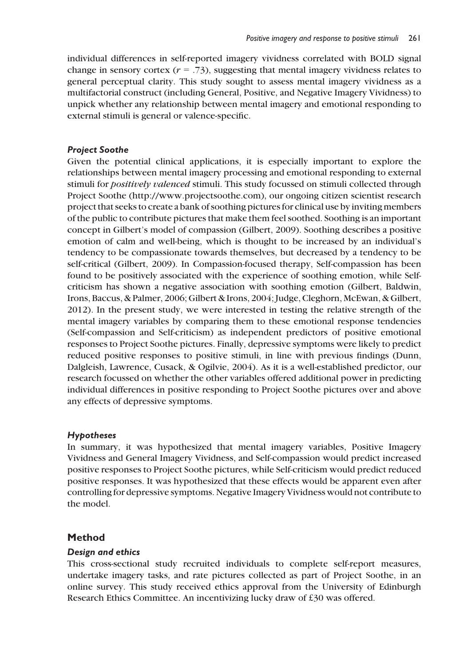individual differences in self-reported imagery vividness correlated with BOLD signal change in sensory cortex  $(r = .73)$ , suggesting that mental imagery vividness relates to general perceptual clarity. This study sought to assess mental imagery vividness as a multifactorial construct (including General, Positive, and Negative Imagery Vividness) to unpick whether any relationship between mental imagery and emotional responding to external stimuli is general or valence-specific.

#### Project Soothe

Given the potential clinical applications, it is especially important to explore the relationships between mental imagery processing and emotional responding to external stimuli for positively valenced stimuli. This study focussed on stimuli collected through Project Soothe (<http://www.projectsoothe.com>), our ongoing citizen scientist research project that seeks to create a bank of soothing pictures for clinical use by inviting members of the public to contribute pictures that make them feel soothed. Soothing is an important concept in Gilbert's model of compassion (Gilbert, 2009). Soothing describes a positive emotion of calm and well-being, which is thought to be increased by an individual's tendency to be compassionate towards themselves, but decreased by a tendency to be self-critical (Gilbert, 2009). In Compassion-focused therapy, Self-compassion has been found to be positively associated with the experience of soothing emotion, while Selfcriticism has shown a negative association with soothing emotion (Gilbert, Baldwin, Irons, Baccus, & Palmer, 2006; Gilbert & Irons, 2004; Judge, Cleghorn, McEwan, & Gilbert, 2012). In the present study, we were interested in testing the relative strength of the mental imagery variables by comparing them to these emotional response tendencies (Self-compassion and Self-criticism) as independent predictors of positive emotional responses to Project Soothe pictures. Finally, depressive symptoms were likely to predict reduced positive responses to positive stimuli, in line with previous findings (Dunn, Dalgleish, Lawrence, Cusack, & Ogilvie, 2004). As it is a well-established predictor, our research focussed on whether the other variables offered additional power in predicting individual differences in positive responding to Project Soothe pictures over and above any effects of depressive symptoms.

## Hypotheses

In summary, it was hypothesized that mental imagery variables, Positive Imagery Vividness and General Imagery Vividness, and Self-compassion would predict increased positive responses to Project Soothe pictures, while Self-criticism would predict reduced positive responses. It was hypothesized that these effects would be apparent even after controlling for depressive symptoms. Negative Imagery Vividness would not contribute to the model.

## Method

## Design and ethics

This cross-sectional study recruited individuals to complete self-report measures, undertake imagery tasks, and rate pictures collected as part of Project Soothe, in an online survey. This study received ethics approval from the University of Edinburgh Research Ethics Committee. An incentivizing lucky draw of £30 was offered.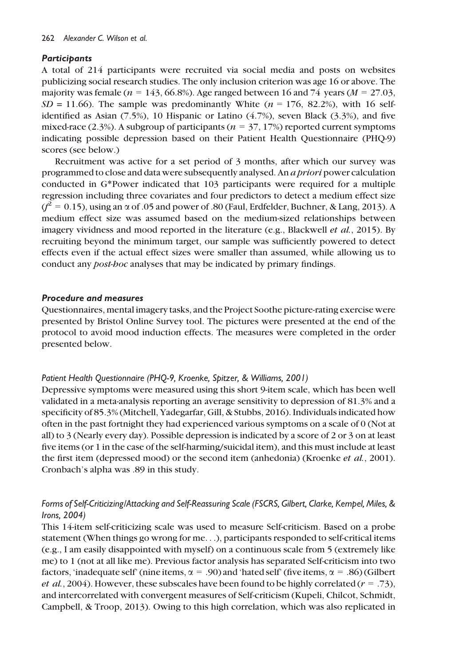# **Participants**

A total of 214 participants were recruited via social media and posts on websites publicizing social research studies. The only inclusion criterion was age 16 or above. The majority was female ( $n = 143, 66.8\%$ ). Age ranged between 16 and 74 years ( $M = 27.03$ ,  $SD = 11.66$ ). The sample was predominantly White ( $n = 176, 82.2\%$ ), with 16 selfidentified as Asian (7.5%), 10 Hispanic or Latino (4.7%), seven Black (3.3%), and five mixed-race (2.3%). A subgroup of participants ( $n = 37, 17%$ ) reported current symptoms indicating possible depression based on their Patient Health Questionnaire (PHQ-9) scores (see below.)

Recruitment was active for a set period of 3 months, after which our survey was programmed to close and data were subsequently analysed. An a priori power calculation conducted in G\*Power indicated that 103 participants were required for a multiple regression including three covariates and four predictors to detect a medium effect size  $(f^2 = 0.15)$ , using an  $\alpha$  of .05 and power of .80 (Faul, Erdfelder, Buchner, & Lang, 2013). A medium effect size was assumed based on the medium-sized relationships between imagery vividness and mood reported in the literature (e.g., Blackwell et al., 2015). By recruiting beyond the minimum target, our sample was sufficiently powered to detect effects even if the actual effect sizes were smaller than assumed, while allowing us to conduct any *post-boc* analyses that may be indicated by primary findings.

## Procedure and measures

Questionnaires, mental imagery tasks, and the Project Soothe picture-rating exercise were presented by Bristol Online Survey tool. The pictures were presented at the end of the protocol to avoid mood induction effects. The measures were completed in the order presented below.

## Patient Health Questionnaire (PHQ-9, Kroenke, Spitzer, & Williams, 2001)

Depressive symptoms were measured using this short 9-item scale, which has been well validated in a meta-analysis reporting an average sensitivity to depression of 81.3% and a specificity of 85.3% (Mitchell, Yadegarfar, Gill, & Stubbs, 2016). Individuals indicated how often in the past fortnight they had experienced various symptoms on a scale of 0 (Not at all) to 3 (Nearly every day). Possible depression is indicated by a score of 2 or 3 on at least five items (or 1 in the case of the self-harming/suicidal item), and this must include at least the first item (depressed mood) or the second item (anhedonia) (Kroenke et al., 2001). Cronbach's alpha was .89 in this study.

# Forms of Self-Criticizing/Attacking and Self-Reassuring Scale (FSCRS, Gilbert, Clarke, Kempel, Miles, & Irons, 2004)

This 14-item self-criticizing scale was used to measure Self-criticism. Based on a probe statement (When things go wrong for me...), participants responded to self-critical items (e.g., I am easily disappointed with myself) on a continuous scale from 5 (extremely like me) to 1 (not at all like me). Previous factor analysis has separated Self-criticism into two factors, 'inadequate self' (nine items,  $\alpha = .90$ ) and 'hated self' (five items,  $\alpha = .86$ ) (Gilbert *et al.*, 2004). However, these subscales have been found to be highly correlated ( $r = .73$ ), and intercorrelated with convergent measures of Self-criticism (Kupeli, Chilcot, Schmidt, Campbell, & Troop, 2013). Owing to this high correlation, which was also replicated in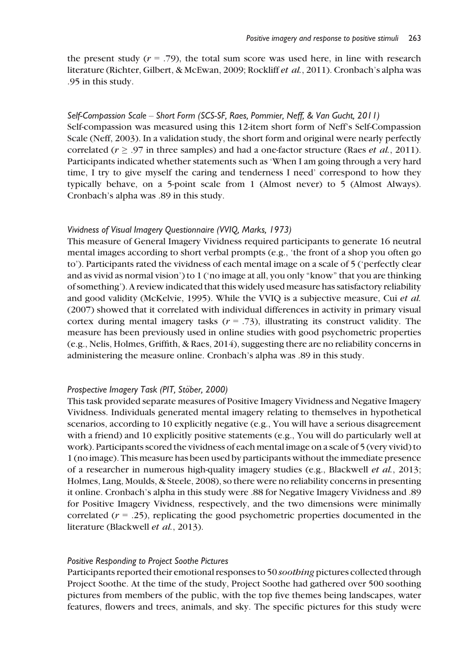the present study  $(r = .79)$ , the total sum score was used here, in line with research literature (Richter, Gilbert, & McEwan, 2009; Rockliff et al., 2011). Cronbach's alpha was .95 in this study.

Self-Compassion Scale – Short Form (SCS-SF, Raes, Pommier, Neff, & Van Gucht, 2011) Self-compassion was measured using this 12-item short form of Neff's Self-Compassion Scale (Neff, 2003). In a validation study, the short form and original were nearly perfectly correlated ( $r \ge 0.97$  in three samples) and had a one-factor structure (Raes *et al.*, 2011). Participants indicated whether statements such as 'When I am going through a very hard time, I try to give myself the caring and tenderness I need' correspond to how they typically behave, on a 5-point scale from 1 (Almost never) to 5 (Almost Always). Cronbach's alpha was .89 in this study.

#### Vividness of Visual Imagery Questionnaire (VVIQ, Marks, 1973)

This measure of General Imagery Vividness required participants to generate 16 neutral mental images according to short verbal prompts (e.g., 'the front of a shop you often go to'). Participants rated the vividness of each mental image on a scale of 5 ('perfectly clear and as vivid as normal vision') to 1 ('no image at all, you only "know" that you are thinking of something'). A review indicated that this widely used measure has satisfactory reliability and good validity (McKelvie, 1995). While the VVIQ is a subjective measure, Cui et al. (2007) showed that it correlated with individual differences in activity in primary visual cortex during mental imagery tasks  $(r = .73)$ , illustrating its construct validity. The measure has been previously used in online studies with good psychometric properties (e.g., Nelis, Holmes, Griffith, & Raes, 2014), suggesting there are no reliability concerns in administering the measure online. Cronbach's alpha was .89 in this study.

#### Prospective Imagery Task (PIT, Stöber, 2000)

This task provided separate measures of Positive Imagery Vividness and Negative Imagery Vividness. Individuals generated mental imagery relating to themselves in hypothetical scenarios, according to 10 explicitly negative (e.g., You will have a serious disagreement with a friend) and 10 explicitly positive statements (e.g., You will do particularly well at work). Participants scored the vividness of each mental image on a scale of 5 (very vivid) to 1 (no image). This measure has been used by participants without the immediate presence of a researcher in numerous high-quality imagery studies (e.g., Blackwell *et al.*, 2013; Holmes, Lang, Moulds, & Steele, 2008), so there were no reliability concerns in presenting it online. Cronbach's alpha in this study were .88 for Negative Imagery Vividness and .89 for Positive Imagery Vividness, respectively, and the two dimensions were minimally correlated  $(r = .25)$ , replicating the good psychometric properties documented in the literature (Blackwell et al., 2013).

#### Positive Responding to Project Soothe Pictures

Participants reported their emotional responses to 50 *soothing* pictures collected through Project Soothe. At the time of the study, Project Soothe had gathered over 500 soothing pictures from members of the public, with the top five themes being landscapes, water features, flowers and trees, animals, and sky. The specific pictures for this study were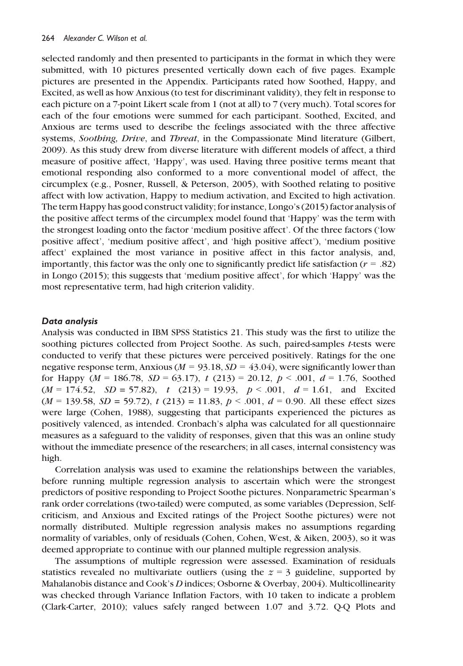selected randomly and then presented to participants in the format in which they were submitted, with 10 pictures presented vertically down each of five pages. Example pictures are presented in the Appendix. Participants rated how Soothed, Happy, and Excited, as well as how Anxious (to test for discriminant validity), they felt in response to each picture on a 7-point Likert scale from 1 (not at all) to 7 (very much). Total scores for each of the four emotions were summed for each participant. Soothed, Excited, and Anxious are terms used to describe the feelings associated with the three affective systems, Soothing, Drive, and Threat, in the Compassionate Mind literature (Gilbert, 2009). As this study drew from diverse literature with different models of affect, a third measure of positive affect, 'Happy', was used. Having three positive terms meant that emotional responding also conformed to a more conventional model of affect, the circumplex (e.g., Posner, Russell, & Peterson, 2005), with Soothed relating to positive affect with low activation, Happy to medium activation, and Excited to high activation. The term Happy has good construct validity; for instance, Longo's (2015) factor analysis of the positive affect terms of the circumplex model found that 'Happy' was the term with the strongest loading onto the factor 'medium positive affect'. Of the three factors ('low positive affect', 'medium positive affect', and 'high positive affect'), 'medium positive affect' explained the most variance in positive affect in this factor analysis, and, importantly, this factor was the only one to significantly predict life satisfaction ( $r = .82$ ) in Longo (2015); this suggests that 'medium positive affect', for which 'Happy' was the most representative term, had high criterion validity.

## Data analysis

Analysis was conducted in IBM SPSS Statistics 21. This study was the first to utilize the soothing pictures collected from Project Soothe. As such, paired-samples t-tests were conducted to verify that these pictures were perceived positively. Ratings for the one negative response term, Anxious ( $M = 93.18$ ,  $SD = 43.04$ ), were significantly lower than for Happy ( $M = 186.78$ ,  $SD = 63.17$ ),  $t(213) = 20.12$ ,  $p < .001$ ,  $d = 1.76$ , Soothed  $(M = 174.52, SD = 57.82), t (213) = 19.93, p < .001, d = 1.61, and Excited$  $(M = 139.58, SD = 59.72), t(213) = 11.83, p < .001, d = 0.90$ . All these effect sizes were large (Cohen, 1988), suggesting that participants experienced the pictures as positively valenced, as intended. Cronbach's alpha was calculated for all questionnaire measures as a safeguard to the validity of responses, given that this was an online study without the immediate presence of the researchers; in all cases, internal consistency was high.

Correlation analysis was used to examine the relationships between the variables, before running multiple regression analysis to ascertain which were the strongest predictors of positive responding to Project Soothe pictures. Nonparametric Spearman's rank order correlations (two-tailed) were computed, as some variables (Depression, Selfcriticism, and Anxious and Excited ratings of the Project Soothe pictures) were not normally distributed. Multiple regression analysis makes no assumptions regarding normality of variables, only of residuals (Cohen, Cohen, West, & Aiken, 2003), so it was deemed appropriate to continue with our planned multiple regression analysis.

The assumptions of multiple regression were assessed. Examination of residuals statistics revealed no multivariate outliers (using the  $z = 3$  guideline, supported by Mahalanobis distance and Cook's D indices; Osborne & Overbay, 2004). Multicollinearity was checked through Variance Inflation Factors, with 10 taken to indicate a problem (Clark-Carter, 2010); values safely ranged between 1.07 and 3.72. Q-Q Plots and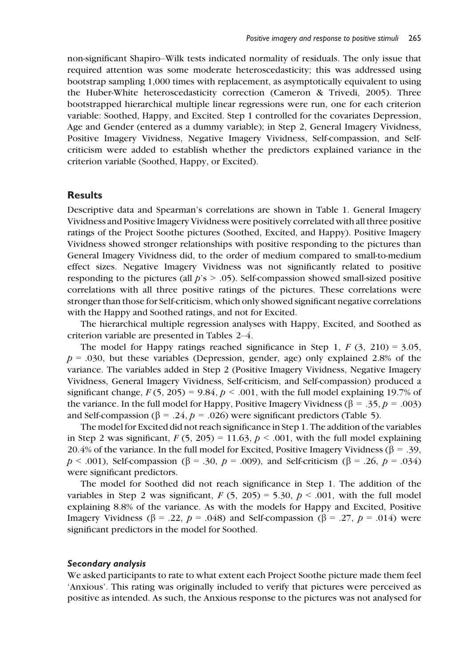non-significant Shapiro–Wilk tests indicated normality of residuals. The only issue that required attention was some moderate heteroscedasticity; this was addressed using bootstrap sampling 1,000 times with replacement, as asymptotically equivalent to using the Huber-White heteroscedasticity correction (Cameron & Trivedi, 2005). Three bootstrapped hierarchical multiple linear regressions were run, one for each criterion variable: Soothed, Happy, and Excited. Step 1 controlled for the covariates Depression, Age and Gender (entered as a dummy variable); in Step 2, General Imagery Vividness, Positive Imagery Vividness, Negative Imagery Vividness, Self-compassion, and Selfcriticism were added to establish whether the predictors explained variance in the criterion variable (Soothed, Happy, or Excited).

#### Results

Descriptive data and Spearman's correlations are shown in Table 1. General Imagery Vividness and Positive Imagery Vividness were positively correlated with all three positive ratings of the Project Soothe pictures (Soothed, Excited, and Happy). Positive Imagery Vividness showed stronger relationships with positive responding to the pictures than General Imagery Vividness did, to the order of medium compared to small-to-medium effect sizes. Negative Imagery Vividness was not significantly related to positive responding to the pictures (all  $p's > .05$ ). Self-compassion showed small-sized positive correlations with all three positive ratings of the pictures. These correlations were stronger than those for Self-criticism, which only showed significant negative correlations with the Happy and Soothed ratings, and not for Excited.

The hierarchical multiple regression analyses with Happy, Excited, and Soothed as criterion variable are presented in Tables 2–4.

The model for Happy ratings reached significance in Step 1,  $F(3, 210) = 3.05$ ,  $p = .030$ , but these variables (Depression, gender, age) only explained 2.8% of the variance. The variables added in Step 2 (Positive Imagery Vividness, Negative Imagery Vividness, General Imagery Vividness, Self-criticism, and Self-compassion) produced a significant change,  $F(5, 205) = 9.84$ ,  $p < .001$ , with the full model explaining 19.7% of the variance. In the full model for Happy, Positive Imagery Vividness ( $\beta = .35$ ,  $p = .003$ ) and Self-compassion ( $\beta$  = .24,  $p$  = .026) were significant predictors (Table 5).

The model for Excited did not reach significance in Step 1. The addition of the variables in Step 2 was significant,  $F(5, 205) = 11.63$ ,  $p < .001$ , with the full model explaining 20.4% of the variance. In the full model for Excited, Positive Imagery Vividness ( $\beta = .39$ ,  $p < .001$ , Self-compassion ( $\beta = .30, p = .009$ ), and Self-criticism ( $\beta = .26, p = .034$ ) were significant predictors.

The model for Soothed did not reach significance in Step 1. The addition of the variables in Step 2 was significant,  $F(5, 205) = 5.30, p < .001$ , with the full model explaining 8.8% of the variance. As with the models for Happy and Excited, Positive Imagery Vividness ( $\beta$  = .22,  $p$  = .048) and Self-compassion ( $\beta$  = .27,  $p$  = .014) were significant predictors in the model for Soothed.

#### Secondary analysis

We asked participants to rate to what extent each Project Soothe picture made them feel 'Anxious'. This rating was originally included to verify that pictures were perceived as positive as intended. As such, the Anxious response to the pictures was not analysed for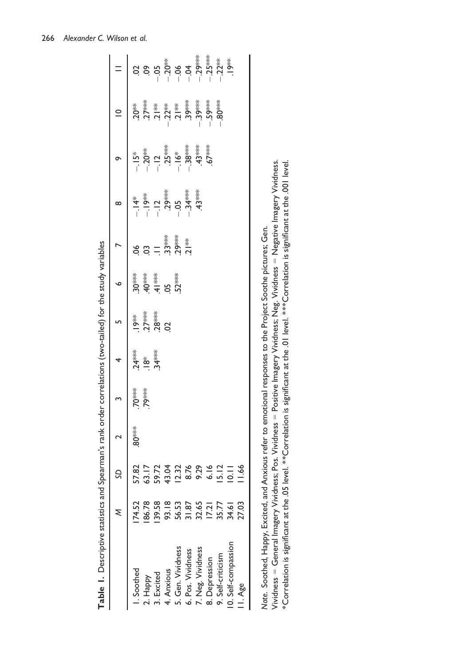|                     |                                           | S                      |        |             |                 | ٥                                                                                                                                                                                            |                     | ∞       |                                                          |        |         |
|---------------------|-------------------------------------------|------------------------|--------|-------------|-----------------|----------------------------------------------------------------------------------------------------------------------------------------------------------------------------------------------|---------------------|---------|----------------------------------------------------------|--------|---------|
| .Soothed            | 174.52                                    |                        | $80**$ |             | $.24***$        |                                                                                                                                                                                              | ఠ                   |         |                                                          |        |         |
| 2. Happy            | 186.78                                    | 57.82<br>63.17         |        | <b>茶を入る</b> | $\frac{34}{34}$ | $\begin{array}{cccc}\n & \ast & \ast & \ast & \ast \\ & \ast & \ast & \ast & \ast \\ & \ast & \ast & \ast & \ast \\ & \ast & \ast & \ast & \ast \\ & \ast & \ast & \ast & \ast\n\end{array}$ | ွ                   |         | - 15**<br>- .20**<br>- .12 .38*** .43**<br>- .38** .43** |        |         |
| 3. Excited          | 39.58                                     | 59.72                  |        |             |                 |                                                                                                                                                                                              |                     |         |                                                          |        |         |
| 4. Anxious          | 93.18                                     |                        |        |             |                 |                                                                                                                                                                                              |                     |         |                                                          |        |         |
| 5. Gen. Vividness   |                                           | 43.04<br>12.32<br>8.76 |        |             |                 |                                                                                                                                                                                              | *<br>3. *<br>3. ^ 7 |         |                                                          |        |         |
| 6. Pos. Vividness   |                                           |                        |        |             |                 |                                                                                                                                                                                              |                     |         |                                                          |        |         |
| 7. Neg. Vividness   |                                           | 9.29                   |        |             |                 |                                                                                                                                                                                              |                     | $A3***$ |                                                          |        |         |
| 8. Depression       |                                           | 6.16                   |        |             |                 |                                                                                                                                                                                              |                     |         |                                                          |        |         |
| 9. Self-criticism   |                                           | $\frac{5.12}{0.11}$    |        |             |                 |                                                                                                                                                                                              |                     |         |                                                          | $80**$ | $.22**$ |
| 10. Self-compassion | 56.53<br>31.87<br>32.65<br>17.77<br>34.61 |                        |        |             |                 |                                                                                                                                                                                              |                     |         |                                                          |        |         |
| . I. Age            | 27.03                                     | $-66$                  |        |             |                 |                                                                                                                                                                                              |                     |         |                                                          |        |         |

Vividness = General Imagery Vividness; Pos. Vividness = Positive Imagery Vividness; Neg. Vividness = Negative Imagery Vividness. \*Correlation is significant at the .05 level. \*\*Correlation is significant at the .01 level. \*\*\*Correlation is significant at the .001 level. Vividness = General Imagery Vividness; Pos. Vividness = Positive Imagery Vividness; Neg. Vividness = Negative Imagery Vividness. \*Correlation is significant at the .05 level. \*\*Correlation is significant at the .01 level. \*\*\*Correlation is significant at the .001 level. Note. Soothed, Happy, Excited, and Anxious refer to emotional responses to the Project Soothe pictures; Gen. Note. Soothed, Happy, Excited, and Anxious refer to emotional responses to the Project Soothe pictures; Gen.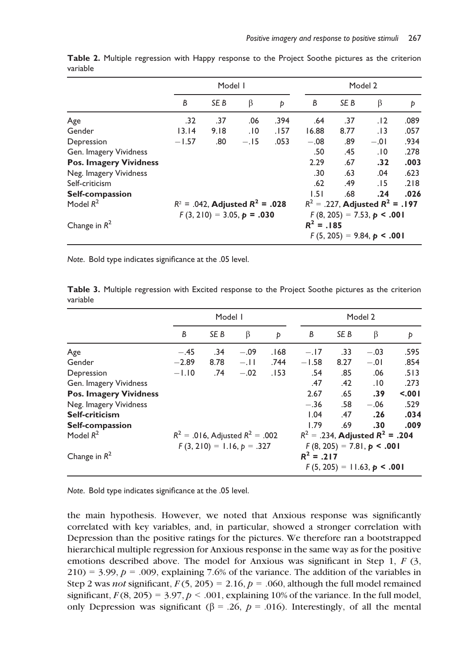|                               | Model I |                 |                                     |      | Model 2                             |      |                                |      |
|-------------------------------|---------|-----------------|-------------------------------------|------|-------------------------------------|------|--------------------------------|------|
|                               | В       | SE <sub>B</sub> | $\beta$                             | Þ    | B                                   | SE B | β                              | Þ    |
| Age                           | .32     | .37             | .06                                 | .394 | .64                                 | .37  | .12                            | .089 |
| Gender                        | 13.14   | 9.18            | .10                                 | .157 | 16.88                               | 8.77 | .13                            | .057 |
| Depression                    | $-1.57$ | .80             | $-.15$                              | .053 | $-.08$                              | .89  | $-.01$                         | .934 |
| Gen. Imagery Vividness        |         |                 |                                     |      | .50                                 | .45  | .10                            | .278 |
| <b>Pos. Imagery Vividness</b> |         |                 |                                     |      | 2.29                                | .67  | .32                            | .003 |
| Neg. Imagery Vividness        |         |                 |                                     |      | .30                                 | .63  | .04                            | .623 |
| Self-criticism                |         |                 |                                     |      | .62                                 | .49  | .15                            | .218 |
| <b>Self-compassion</b>        |         |                 |                                     |      | 1.51                                | .68  | .24                            | .026 |
| Model $R^2$                   |         |                 | $R^2$ = .042, Adjusted $R^2$ = .028 |      | $R^2$ = .227, Adjusted $R^2$ = .197 |      |                                |      |
|                               |         |                 | $F(3, 210) = 3.05, p = .030$        |      | $F(8, 205) = 7.53$ , $p \le .001$   |      |                                |      |
| Change in $R^2$               |         |                 |                                     |      | $R^2 = .185$                        |      |                                |      |
|                               |         |                 |                                     |      |                                     |      | $F(5, 205) = 9.84, p \le .001$ |      |

Table 2. Multiple regression with Happy response to the Project Soothe pictures as the criterion variable

Note. Bold type indicates significance at the .05 level.

Table 3. Multiple regression with Excited response to the Project Soothe pictures as the criterion variable

|                               |         | Model I         |                                     |      |                                | Model 2         |                                     |        |  |  |
|-------------------------------|---------|-----------------|-------------------------------------|------|--------------------------------|-----------------|-------------------------------------|--------|--|--|
|                               | B       | SE <sub>B</sub> | β                                   | Þ    | В                              | SE <sub>B</sub> | β                                   | Þ      |  |  |
| Age                           | $-.45$  | .34             | $-.09$                              | .168 | $-.17$                         | .33             | $-.03$                              | .595   |  |  |
| Gender                        | $-2.89$ | 8.78            | $-.11$                              | .744 | $-1.58$                        | 8.27            | $-.01$                              | .854   |  |  |
| Depression                    | $-1.10$ | .74             | $-.02$                              | .153 | .54                            | .85             | .06                                 | .513   |  |  |
| Gen. Imagery Vividness        |         |                 |                                     |      | .47                            | .42             | .10                                 | .273   |  |  |
| <b>Pos. Imagery Vividness</b> |         |                 |                                     |      | 2.67                           | .65             | .39                                 | < .001 |  |  |
| Neg. Imagery Vividness        |         |                 |                                     |      | $-.36$                         | .58             | $-.06$                              | .529   |  |  |
| Self-criticism                |         |                 |                                     |      | 1.04                           | .47             | .26                                 | .034   |  |  |
| <b>Self-compassion</b>        |         |                 |                                     |      | 1.79                           | .69             | .30                                 | .009   |  |  |
| Model $R^2$                   |         |                 | $R^2$ = .016, Adjusted $R^2$ = .002 |      |                                |                 | $R^2$ = .234, Adjusted $R^2$ = .204 |        |  |  |
|                               |         |                 | $F(3, 210) = 1.16, p = .327$        |      | $F(8, 205) = 7.81, p \le .001$ |                 |                                     |        |  |  |
| Change in $R^2$               |         |                 |                                     |      | $R^2 = .217$                   |                 |                                     |        |  |  |
|                               |         |                 |                                     |      |                                |                 | $F(5, 205) = 11.63, p \le .001$     |        |  |  |

Note. Bold type indicates significance at the .05 level.

the main hypothesis. However, we noted that Anxious response was significantly correlated with key variables, and, in particular, showed a stronger correlation with Depression than the positive ratings for the pictures. We therefore ran a bootstrapped hierarchical multiple regression for Anxious response in the same way as for the positive emotions described above. The model for Anxious was significant in Step 1,  $F(3, 1)$  $210$ ) = 3.99,  $p = .009$ , explaining 7.6% of the variance. The addition of the variables in Step 2 was not significant,  $F(5, 205) = 2.16$ ,  $p = .060$ , although the full model remained significant,  $F(8, 205) = 3.97$ ,  $p < .001$ , explaining 10% of the variance. In the full model, only Depression was significant ( $\beta$  = .26,  $p$  = .016). Interestingly, of all the mental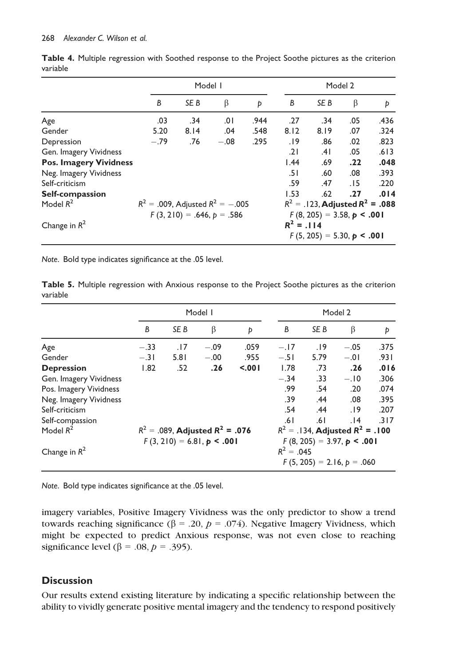|                               |                                      | Model I         | Model 2                      |                                |                                        |                                |     |      |  |
|-------------------------------|--------------------------------------|-----------------|------------------------------|--------------------------------|----------------------------------------|--------------------------------|-----|------|--|
|                               | B                                    | SE <sub>B</sub> | β                            | Þ                              | B                                      | SE <sub>B</sub>                | β   | Þ    |  |
| Age                           | .03                                  | .34             | .01                          | .944                           | .27                                    | .34                            | .05 | .436 |  |
| Gender                        | 5.20                                 | 8.14            | .04                          | .548                           | 8.12                                   | 8.19                           | .07 | .324 |  |
| Depression                    | $-.79$                               | .76             | $-.08$                       | .295                           | .19                                    | .86                            | .02 | .823 |  |
| Gen. Imagery Vividness        |                                      |                 |                              |                                | .21                                    | .41                            | .05 | .613 |  |
| <b>Pos. Imagery Vividness</b> |                                      |                 |                              |                                | 1.44                                   | .69                            | .22 | .048 |  |
| Neg. Imagery Vividness        |                                      |                 |                              |                                | .51                                    | .60                            | .08 | .393 |  |
| Self-criticism                |                                      |                 |                              |                                | .59                                    | .47                            | .15 | .220 |  |
| <b>Self-compassion</b>        |                                      |                 |                              |                                | 1.53                                   | .62                            | .27 | .014 |  |
| Model $R^2$                   | $R^2$ = .009, Adjusted $R^2$ = -.005 |                 |                              |                                | $R^2 = 0.123$ , Adjusted $R^2 = 0.088$ |                                |     |      |  |
|                               |                                      |                 | $F(3, 210) = .646, p = .586$ | $F(8, 205) = 3.58, p \le .001$ |                                        |                                |     |      |  |
| Change in $R^2$               |                                      |                 |                              |                                | $R^2 = .114$                           |                                |     |      |  |
|                               |                                      |                 |                              |                                |                                        | $F(5, 205) = 5.30, p \le .001$ |     |      |  |

Table 4. Multiple regression with Soothed response to the Project Soothe pictures as the criterion variable

Note. Bold type indicates significance at the .05 level.

Table 5. Multiple regression with Anxious response to the Project Soothe pictures as the criterion variable

|                        |        |      | Model I                             |       | Model 2      |      |                                                                |      |  |
|------------------------|--------|------|-------------------------------------|-------|--------------|------|----------------------------------------------------------------|------|--|
|                        | B      | SE B | β                                   | Þ     | В            | SE B | β                                                              | Þ    |  |
| Age                    | $-.33$ | .17  | $-.09$                              | .059  | $-.17$       | .19  | $-.05$                                                         | .375 |  |
| Gender                 | $-.31$ | 5.81 | $-.00$                              | .955  | $-.51$       | 5.79 | $-.01$                                                         | .931 |  |
| <b>Depression</b>      | 1.82   | .52  | .26                                 | 5.001 | 1.78         | .73  | .26                                                            | .016 |  |
| Gen. Imagery Vividness |        |      |                                     |       | $-.34$       | .33  | $-.10$                                                         | .306 |  |
| Pos. Imagery Vividness |        |      |                                     |       | .99          | .54  | .20                                                            | .074 |  |
| Neg. Imagery Vividness |        |      |                                     |       | .39          | .44  | .08                                                            | .395 |  |
| Self-criticism         |        |      |                                     |       | .54          | .44  | .19                                                            | .207 |  |
| Self-compassion        |        |      |                                     |       | .61          | .61  | .14                                                            | .317 |  |
| Model $R^2$            |        |      | $R^2$ = .089, Adjusted $R^2$ = .076 |       |              |      | $R^2 = 0.134$ , Adjusted $R^2 = 0.100$                         |      |  |
| Change in $R^2$        |        |      | $F(3, 210) = 6.81, p \le .001$      |       | $R^2 = .045$ |      | $F(8, 205) = 3.97, p \le .001$<br>$F(5, 205) = 2.16, p = .060$ |      |  |

Note. Bold type indicates significance at the .05 level.

imagery variables, Positive Imagery Vividness was the only predictor to show a trend towards reaching significance ( $\beta$  = .20,  $p$  = .074). Negative Imagery Vividness, which might be expected to predict Anxious response, was not even close to reaching significance level ( $\beta = .08$ ,  $p = .395$ ).

# **Discussion**

Our results extend existing literature by indicating a specific relationship between the ability to vividly generate positive mental imagery and the tendency to respond positively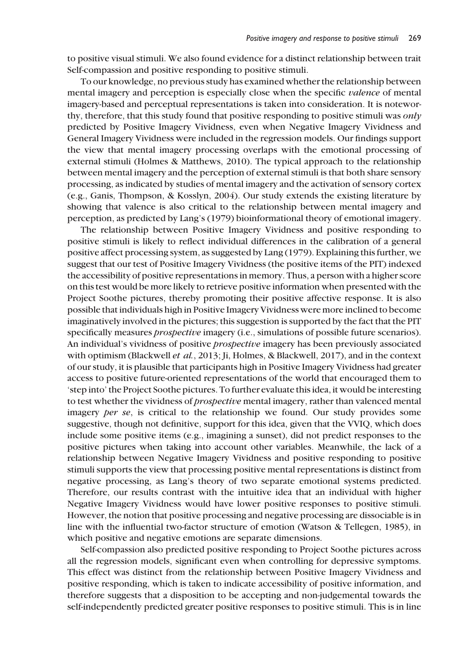to positive visual stimuli. We also found evidence for a distinct relationship between trait Self-compassion and positive responding to positive stimuli.

To our knowledge, no previous study has examined whether the relationship between mental imagery and perception is especially close when the specific *valence* of mental imagery-based and perceptual representations is taken into consideration. It is noteworthy, therefore, that this study found that positive responding to positive stimuli was *only* predicted by Positive Imagery Vividness, even when Negative Imagery Vividness and General Imagery Vividness were included in the regression models. Our findings support the view that mental imagery processing overlaps with the emotional processing of external stimuli (Holmes & Matthews, 2010). The typical approach to the relationship between mental imagery and the perception of external stimuli is that both share sensory processing, as indicated by studies of mental imagery and the activation of sensory cortex (e.g., Ganis, Thompson, & Kosslyn, 2004). Our study extends the existing literature by showing that valence is also critical to the relationship between mental imagery and perception, as predicted by Lang's (1979) bioinformational theory of emotional imagery.

The relationship between Positive Imagery Vividness and positive responding to positive stimuli is likely to reflect individual differences in the calibration of a general positive affect processing system, as suggested by Lang (1979). Explaining this further, we suggest that our test of Positive Imagery Vividness (the positive items of the PIT) indexed the accessibility of positive representations in memory. Thus, a person with a higher score on this test would be more likely to retrieve positive information when presented with the Project Soothe pictures, thereby promoting their positive affective response. It is also possible that individuals high in Positive Imagery Vividness were more inclined to become imaginatively involved in the pictures; this suggestion is supported by the fact that the PIT specifically measures *prospective* imagery (i.e., simulations of possible future scenarios). An individual's vividness of positive prospective imagery has been previously associated with optimism (Blackwell *et al.*, 2013; Ji, Holmes, & Blackwell, 2017), and in the context of our study, it is plausible that participants high in Positive Imagery Vividness had greater access to positive future-oriented representations of the world that encouraged them to 'step into' the Project Soothe pictures. To further evaluate this idea, it would be interesting to test whether the vividness of *prospective* mental imagery, rather than valenced mental imagery per se, is critical to the relationship we found. Our study provides some suggestive, though not definitive, support for this idea, given that the VVIQ, which does include some positive items (e.g., imagining a sunset), did not predict responses to the positive pictures when taking into account other variables. Meanwhile, the lack of a relationship between Negative Imagery Vividness and positive responding to positive stimuli supports the view that processing positive mental representations is distinct from negative processing, as Lang's theory of two separate emotional systems predicted. Therefore, our results contrast with the intuitive idea that an individual with higher Negative Imagery Vividness would have lower positive responses to positive stimuli. However, the notion that positive processing and negative processing are dissociable is in line with the influential two-factor structure of emotion (Watson & Tellegen, 1985), in which positive and negative emotions are separate dimensions.

Self-compassion also predicted positive responding to Project Soothe pictures across all the regression models, significant even when controlling for depressive symptoms. This effect was distinct from the relationship between Positive Imagery Vividness and positive responding, which is taken to indicate accessibility of positive information, and therefore suggests that a disposition to be accepting and non-judgemental towards the self-independently predicted greater positive responses to positive stimuli. This is in line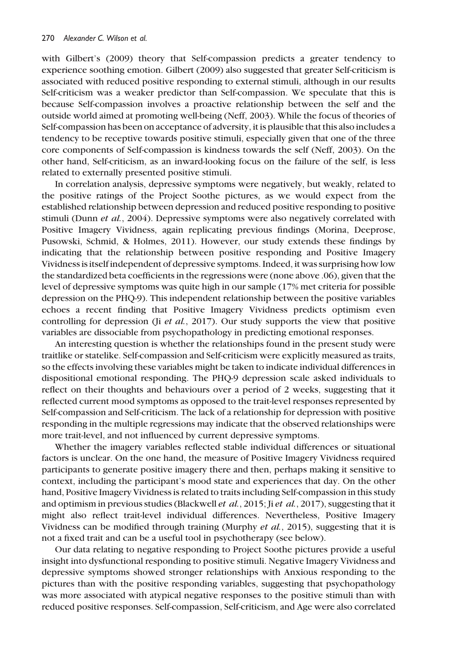with Gilbert's (2009) theory that Self-compassion predicts a greater tendency to experience soothing emotion. Gilbert (2009) also suggested that greater Self-criticism is associated with reduced positive responding to external stimuli, although in our results Self-criticism was a weaker predictor than Self-compassion. We speculate that this is because Self-compassion involves a proactive relationship between the self and the outside world aimed at promoting well-being (Neff, 2003). While the focus of theories of Self-compassion has been on acceptance of adversity, it is plausible that this also includes a tendency to be receptive towards positive stimuli, especially given that one of the three core components of Self-compassion is kindness towards the self (Neff, 2003). On the other hand, Self-criticism, as an inward-looking focus on the failure of the self, is less related to externally presented positive stimuli.

In correlation analysis, depressive symptoms were negatively, but weakly, related to the positive ratings of the Project Soothe pictures, as we would expect from the established relationship between depression and reduced positive responding to positive stimuli (Dunn et al., 2004). Depressive symptoms were also negatively correlated with Positive Imagery Vividness, again replicating previous findings (Morina, Deeprose, Pusowski, Schmid, & Holmes, 2011). However, our study extends these findings by indicating that the relationship between positive responding and Positive Imagery Vividness is itself independent of depressive symptoms. Indeed, it was surprising how low the standardized beta coefficients in the regressions were (none above .06), given that the level of depressive symptoms was quite high in our sample (17% met criteria for possible depression on the PHQ-9). This independent relationship between the positive variables echoes a recent finding that Positive Imagery Vividness predicts optimism even controlling for depression (Ji et al., 2017). Our study supports the view that positive variables are dissociable from psychopathology in predicting emotional responses.

An interesting question is whether the relationships found in the present study were traitlike or statelike. Self-compassion and Self-criticism were explicitly measured as traits, so the effects involving these variables might be taken to indicate individual differences in dispositional emotional responding. The PHQ-9 depression scale asked individuals to reflect on their thoughts and behaviours over a period of 2 weeks, suggesting that it reflected current mood symptoms as opposed to the trait-level responses represented by Self-compassion and Self-criticism. The lack of a relationship for depression with positive responding in the multiple regressions may indicate that the observed relationships were more trait-level, and not influenced by current depressive symptoms.

Whether the imagery variables reflected stable individual differences or situational factors is unclear. On the one hand, the measure of Positive Imagery Vividness required participants to generate positive imagery there and then, perhaps making it sensitive to context, including the participant's mood state and experiences that day. On the other hand, Positive Imagery Vividness is related to traits including Self-compassion in this study and optimism in previous studies (Blackwell *et al.*, 2015; Ji *et al.*, 2017), suggesting that it might also reflect trait-level individual differences. Nevertheless, Positive Imagery Vividness can be modified through training (Murphy  $et$   $al$ , 2015), suggesting that it is not a fixed trait and can be a useful tool in psychotherapy (see below).

Our data relating to negative responding to Project Soothe pictures provide a useful insight into dysfunctional responding to positive stimuli. Negative Imagery Vividness and depressive symptoms showed stronger relationships with Anxious responding to the pictures than with the positive responding variables, suggesting that psychopathology was more associated with atypical negative responses to the positive stimuli than with reduced positive responses. Self-compassion, Self-criticism, and Age were also correlated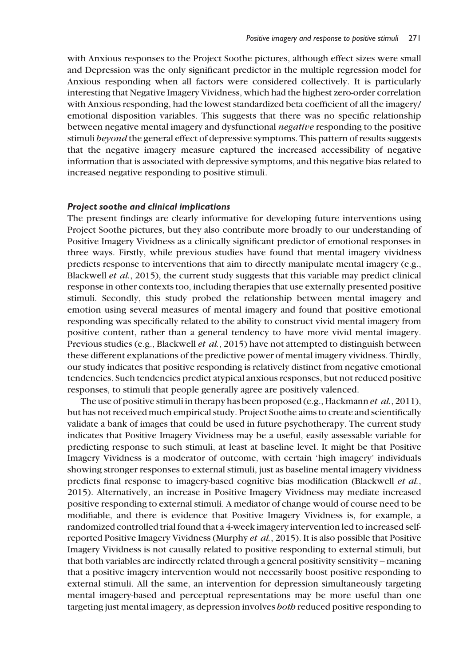with Anxious responses to the Project Soothe pictures, although effect sizes were small and Depression was the only significant predictor in the multiple regression model for Anxious responding when all factors were considered collectively. It is particularly interesting that Negative Imagery Vividness, which had the highest zero-order correlation with Anxious responding, had the lowest standardized beta coefficient of all the imagery/ emotional disposition variables. This suggests that there was no specific relationship between negative mental imagery and dysfunctional negative responding to the positive stimuli beyond the general effect of depressive symptoms. This pattern of results suggests that the negative imagery measure captured the increased accessibility of negative information that is associated with depressive symptoms, and this negative bias related to increased negative responding to positive stimuli.

#### Project soothe and clinical implications

The present findings are clearly informative for developing future interventions using Project Soothe pictures, but they also contribute more broadly to our understanding of Positive Imagery Vividness as a clinically significant predictor of emotional responses in three ways. Firstly, while previous studies have found that mental imagery vividness predicts response to interventions that aim to directly manipulate mental imagery (e.g., Blackwell et al., 2015), the current study suggests that this variable may predict clinical response in other contexts too, including therapies that use externally presented positive stimuli. Secondly, this study probed the relationship between mental imagery and emotion using several measures of mental imagery and found that positive emotional responding was specifically related to the ability to construct vivid mental imagery from positive content, rather than a general tendency to have more vivid mental imagery. Previous studies (e.g., Blackwell et al., 2015) have not attempted to distinguish between these different explanations of the predictive power of mental imagery vividness. Thirdly, our study indicates that positive responding is relatively distinct from negative emotional tendencies. Such tendencies predict atypical anxious responses, but not reduced positive responses, to stimuli that people generally agree are positively valenced.

The use of positive stimuli in therapy has been proposed (e.g., Hackmann *et al.*, 2011). but has not received much empirical study. Project Soothe aims to create and scientifically validate a bank of images that could be used in future psychotherapy. The current study indicates that Positive Imagery Vividness may be a useful, easily assessable variable for predicting response to such stimuli, at least at baseline level. It might be that Positive Imagery Vividness is a moderator of outcome, with certain 'high imagery' individuals showing stronger responses to external stimuli, just as baseline mental imagery vividness predicts final response to imagery-based cognitive bias modification (Blackwell et al., 2015). Alternatively, an increase in Positive Imagery Vividness may mediate increased positive responding to external stimuli. A mediator of change would of course need to be modifiable, and there is evidence that Positive Imagery Vividness is, for example, a randomized controlled trial found that a 4-week imagery intervention led to increased selfreported Positive Imagery Vividness (Murphy et al., 2015). It is also possible that Positive Imagery Vividness is not causally related to positive responding to external stimuli, but that both variables are indirectly related through a general positivity sensitivity – meaning that a positive imagery intervention would not necessarily boost positive responding to external stimuli. All the same, an intervention for depression simultaneously targeting mental imagery-based and perceptual representations may be more useful than one targeting just mental imagery, as depression involves both reduced positive responding to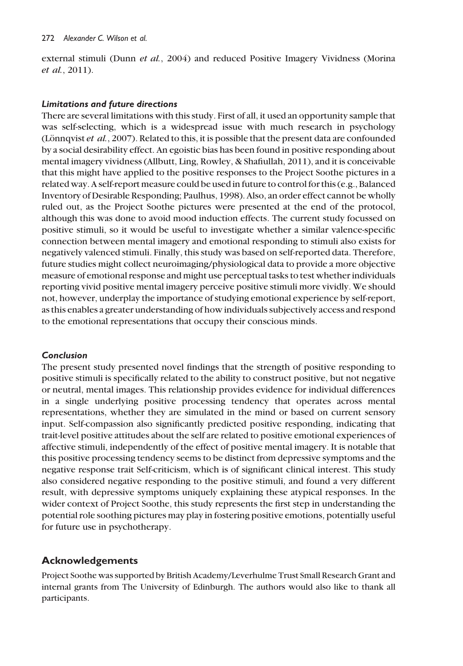external stimuli (Dunn et al., 2004) and reduced Positive Imagery Vividness (Morina et al., 2011).

## Limitations and future directions

There are several limitations with this study. First of all, it used an opportunity sample that was self-selecting, which is a widespread issue with much research in psychology (Lönnqvist  $et \ al.$ , 2007). Related to this, it is possible that the present data are confounded by a social desirability effect. An egoistic bias has been found in positive responding about mental imagery vividness (Allbutt, Ling, Rowley, & Shafiullah, 2011), and it is conceivable that this might have applied to the positive responses to the Project Soothe pictures in a related way. A self-report measure could be used in future to control for this (e.g., Balanced Inventory of Desirable Responding; Paulhus, 1998). Also, an order effect cannot be wholly ruled out, as the Project Soothe pictures were presented at the end of the protocol, although this was done to avoid mood induction effects. The current study focussed on positive stimuli, so it would be useful to investigate whether a similar valence-specific connection between mental imagery and emotional responding to stimuli also exists for negatively valenced stimuli. Finally, this study was based on self-reported data. Therefore, future studies might collect neuroimaging/physiological data to provide a more objective measure of emotional response and might use perceptual tasks to test whether individuals reporting vivid positive mental imagery perceive positive stimuli more vividly. We should not, however, underplay the importance of studying emotional experience by self-report, as this enables a greater understanding of how individuals subjectively access and respond to the emotional representations that occupy their conscious minds.

# Conclusion

The present study presented novel findings that the strength of positive responding to positive stimuli is specifically related to the ability to construct positive, but not negative or neutral, mental images. This relationship provides evidence for individual differences in a single underlying positive processing tendency that operates across mental representations, whether they are simulated in the mind or based on current sensory input. Self-compassion also significantly predicted positive responding, indicating that trait-level positive attitudes about the self are related to positive emotional experiences of affective stimuli, independently of the effect of positive mental imagery. It is notable that this positive processing tendency seems to be distinct from depressive symptoms and the negative response trait Self-criticism, which is of significant clinical interest. This study also considered negative responding to the positive stimuli, and found a very different result, with depressive symptoms uniquely explaining these atypical responses. In the wider context of Project Soothe, this study represents the first step in understanding the potential role soothing pictures may play in fostering positive emotions, potentially useful for future use in psychotherapy.

# Acknowledgements

Project Soothe was supported by British Academy/Leverhulme Trust Small Research Grant and internal grants from The University of Edinburgh. The authors would also like to thank all participants.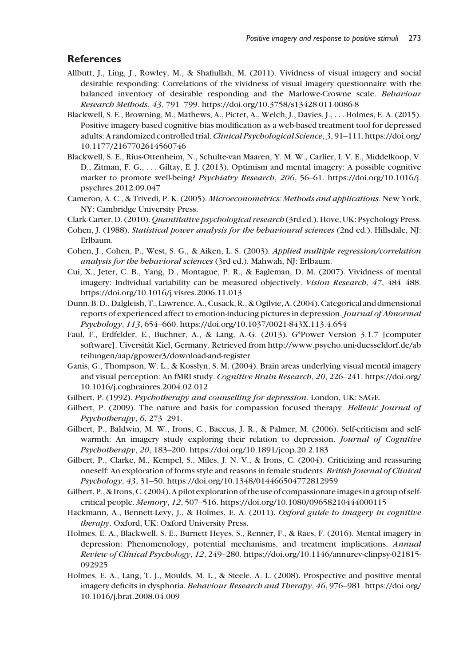# **References**

- Allbutt, J., Ling, J., Rowley, M., & Shafiullah, M. (2011). Vividness of visual imagery and social desirable responding: Correlations of the vividness of visual imagery questionnaire with the balanced inventory of desirable responding and the Marlowe-Crowne scale. Behaviour Research Methods, 43, 791–799.<https://doi.org/10.3758/s13428-011-0086-8>
- Blackwell, S. E., Browning, M., Mathews, A., Pictet, A., Welch, J., Davies, J., ... Holmes, E. A. (2015). Positive imagery-based cognitive bias modification as a web-based treatment tool for depressed adults: A randomized controlled trial. Clinical Psychological Science, 3, 91–111. [https://doi.org/](https://doi.org/10.1177/2167702614560746) [10.1177/2167702614560746](https://doi.org/10.1177/2167702614560746)
- Blackwell, S. E., Rius-Ottenheim, N., Schulte-van Maaren, Y. M. W., Carlier, I. V. E., Middelkoop, V. D., Zitman, F. G., ... Giltay, E. J. (2013). Optimism and mental imagery: A possible cognitive marker to promote well-being? Psychiatry Research, 206, 56–61. [https://doi.org/10.1016/j.](https://doi.org/10.1016/j.psychres.2012.09.047) [psychres.2012.09.047](https://doi.org/10.1016/j.psychres.2012.09.047)
- Cameron, A. C., & Trivedi, P. K. (2005). Microeconometrics: Methods and applications. New York, NY: Cambridge University Press.
- Clark-Carter, D. (2010). Quantitative psychological research (3rd ed.). Hove, UK: Psychology Press.
- Cohen, J. (1988). Statistical power analysis for the behavioural sciences (2nd ed.). Hillsdale, NJ: Erlbaum.
- Cohen, J., Cohen, P., West, S. G., & Aiken, L. S. (2003). Applied multiple regression/correlation analysis for the behavioral sciences (3rd ed.). Mahwah, NJ: Erlbaum.
- Cui, X., Jeter, C. B., Yang, D., Montague, P. R., & Eagleman, D. M. (2007). Vividness of mental imagery: Individual variability can be measured objectively. Vision Research, 47, 484–488. <https://doi.org/10.1016/j.visres.2006.11.013>
- Dunn, B. D., Dalgleish, T., Lawrence, A., Cusack, R., & Ogilvie, A. (2004). Categorical and dimensional reports of experienced affect to emotion-inducing pictures in depression. Journal of Abnormal Psychology, 113, 654–660.<https://doi.org/10.1037/0021-843X.113.4.654>
- Faul, F., Erdfelder, E., Buchner, A., & Lang, A.-G. (2013). G\*Power Version 3.1.7 [computer software]. Uiversität Kiel, Germany. Retrieved from [http://www.psycho.uni-duesseldorf.de/ab](http://www.psycho.uni-duesseldorf.de/abteilungen/aap/gpower3/download-and-register) [teilungen/aap/gpower3/download-and-register](http://www.psycho.uni-duesseldorf.de/abteilungen/aap/gpower3/download-and-register)
- Ganis, G., Thompson, W. L., & Kosslyn, S. M. (2004). Brain areas underlying visual mental imagery and visual perception: An fMRI study. Cognitive Brain Research, 20, 226–241. [https://doi.org/](https://doi.org/10.1016/j.cogbrainres.2004.02.012) [10.1016/j.cogbrainres.2004.02.012](https://doi.org/10.1016/j.cogbrainres.2004.02.012)
- Gilbert, P. (1992). Psychotherapy and counselling for depression. London, UK: SAGE.
- Gilbert, P. (2009). The nature and basis for compassion focused therapy. *Hellenic Journal of*  $Ps$ *ychotherapy*, 6, 273–291.
- Gilbert, P., Baldwin, M. W., Irons, C., Baccus, J. R., & Palmer, M. (2006). Self-criticism and selfwarmth: An imagery study exploring their relation to depression. Journal of Cognitive Psychotherapy, 20, 183–200.<https://doi.org/10.1891/jcop.20.2.183>
- Gilbert, P., Clarke, M., Kempel, S., Miles, J. N. V., & Irons, C. (2004). Criticizing and reassuring oneself: An exploration of forms style and reasons in female students. British Journal of Clinical Psychology, 43, 31–50.<https://doi.org/10.1348/014466504772812959>
- Gilbert, P., & Irons, C. (2004). A pilot exploration of the use of compassionate images in a group of selfcritical people. Memory, 12, 507–516.<https://doi.org/10.1080/09658210444000115>
- Hackmann, A., Bennett-Levy, J., & Holmes, E. A. (2011). Oxford guide to imagery in cognitive therapy. Oxford, UK: Oxford University Press.
- Holmes, E. A., Blackwell, S. E., Burnett Heyes, S., Renner, F., & Raes, F. (2016). Mental imagery in depression: Phenomenology, potential mechanisms, and treatment implications. Annual Review of Clinical Psychology, 12, 249–280. [https://doi.org/10.1146/annurev-clinpsy-021815-](https://doi.org/10.1146/annurev-clinpsy-021815-092925) [092925](https://doi.org/10.1146/annurev-clinpsy-021815-092925)
- Holmes, E. A., Lang, T. J., Moulds, M. L., & Steele, A. L. (2008). Prospective and positive mental imagery deficits in dysphoria. Behaviour Research and Therapy, 46, 976–981. [https://doi.org/](https://doi.org/10.1016/j.brat.2008.04.009) [10.1016/j.brat.2008.04.009](https://doi.org/10.1016/j.brat.2008.04.009)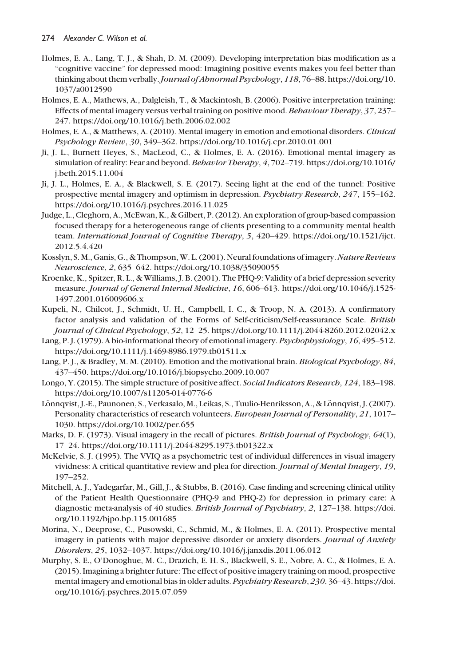- Holmes, E. A., Lang, T. J., & Shah, D. M. (2009). Developing interpretation bias modification as a "cognitive vaccine" for depressed mood: Imagining positive events makes you feel better than thinking about them verbally. Journal of Abnormal Psychology, 118, 76–88. [https://doi.org/10.](https://doi.org/10.1037/a0012590) [1037/a0012590](https://doi.org/10.1037/a0012590)
- Holmes, E. A., Mathews, A., Dalgleish, T., & Mackintosh, B. (2006). Positive interpretation training: Effects of mental imagery versus verbal training on positive mood. Behaviour Therapy, 37, 237– 247.<https://doi.org/10.1016/j.beth.2006.02.002>
- Holmes, E. A., & Matthews, A. (2010). Mental imagery in emotion and emotional disorders. Clinical Psychology Review, 30, 349–362.<https://doi.org/10.1016/j.cpr.2010.01.001>
- Ji, J. L., Burnett Heyes, S., MacLeod, C., & Holmes, E. A. (2016). Emotional mental imagery as simulation of reality: Fear and beyond. Behavior Therapy, 4, 702–719. [https://doi.org/10.1016/](https://doi.org/10.1016/j.beth.2015.11.004) [j.beth.2015.11.004](https://doi.org/10.1016/j.beth.2015.11.004)
- Ji, J. L., Holmes, E. A., & Blackwell, S. E. (2017). Seeing light at the end of the tunnel: Positive prospective mental imagery and optimism in depression. Psychiatry Research, 247, 155–162. <https://doi.org/10.1016/j.psychres.2016.11.025>
- Judge, L., Cleghorn, A., McEwan, K., & Gilbert, P. (2012). An exploration of group-based compassion focused therapy for a heterogeneous range of clients presenting to a community mental health team. International Journal of Cognitive Therapy, 5, 420-429. [https://doi.org/10.1521/ijct.](https://doi.org/10.1521/ijct.2012.5.4.420) [2012.5.4.420](https://doi.org/10.1521/ijct.2012.5.4.420)
- Kosslyn, S. M., Ganis, G., & Thompson, W. L. (2001). Neural foundations of imagery. Nature Reviews Neuroscience, 2, 635–642.<https://doi.org/10.1038/35090055>
- Kroenke, K., Spitzer, R. L., & Williams, J. B. (2001). The PHQ-9: Validity of a brief depression severity measure. Journal of General Internal Medicine, 16, 606–613. [https://doi.org/10.1046/j.1525-](https://doi.org/10.1046/j.1525-1497.2001.016009606.x) [1497.2001.016009606.x](https://doi.org/10.1046/j.1525-1497.2001.016009606.x)
- Kupeli, N., Chilcot, J., Schmidt, U. H., Campbell, I. C., & Troop, N. A. (2013). A confirmatory factor analysis and validation of the Forms of Self-criticism/Self-reassurance Scale. British Journal of Clinical Psychology, 52, 12–25.<https://doi.org/10.1111/j.2044-8260.2012.02042.x>
- Lang, P.J. (1979). A bio-informational theory of emotional imagery. Psychophysiology, 16, 495-512. <https://doi.org/10.1111/j.1469-8986.1979.tb01511.x>
- Lang, P. J., & Bradley, M. M. (2010). Emotion and the motivational brain. Biological Psychology, 84, 437–450.<https://doi.org/10.1016/j.biopsycho.2009.10.007>
- Longo, Y. (2015). The simple structure of positive affect. Social Indicators Research, 124, 183–198. <https://doi.org/10.1007/s11205-014-0776-6>
- Lönnqvist, J.-E., Paunonen, S., Verkasalo, M., Leikas, S., Tuulio-Henriksson, A., & Lönnqvist, J. (2007). Personality characteristics of research volunteers. European Journal of Personality, 21, 1017– 1030.<https://doi.org/10.1002/per.655>
- Marks, D. F. (1973). Visual imagery in the recall of pictures. British Journal of Psychology, 64(1), 17–24.<https://doi.org/10.1111/j.2044-8295.1973.tb01322.x>
- McKelvie, S. J. (1995). The VVIQ as a psychometric test of individual differences in visual imagery vividness: A critical quantitative review and plea for direction. Journal of Mental Imagery, 19, 197–252.
- Mitchell, A. J., Yadegarfar, M., Gill, J., & Stubbs, B. (2016). Case finding and screening clinical utility of the Patient Health Questionnaire (PHQ-9 and PHQ-2) for depression in primary care: A diagnostic meta-analysis of 40 studies. British Journal of Psychiatry, 2, 127-138. [https://doi.](https://doi.org/10.1192/bjpo.bp.115.001685) [org/10.1192/bjpo.bp.115.001685](https://doi.org/10.1192/bjpo.bp.115.001685)
- Morina, N., Deeprose, C., Pusowski, C., Schmid, M., & Holmes, E. A. (2011). Prospective mental imagery in patients with major depressive disorder or anxiety disorders. Journal of Anxiety Disorders, 25, 1032–1037.<https://doi.org/10.1016/j.janxdis.2011.06.012>
- Murphy, S. E., O'Donoghue, M. C., Drazich, E. H. S., Blackwell, S. E., Nobre, A. C., & Holmes, E. A. (2015). Imagining a brighter future: The effect of positive imagery training on mood, prospective mental imagery and emotional bias in older adults. Psychiatry Research, 230, 36–43. [https://doi.](https://doi.org/10.1016/j.psychres.2015.07.059) [org/10.1016/j.psychres.2015.07.059](https://doi.org/10.1016/j.psychres.2015.07.059)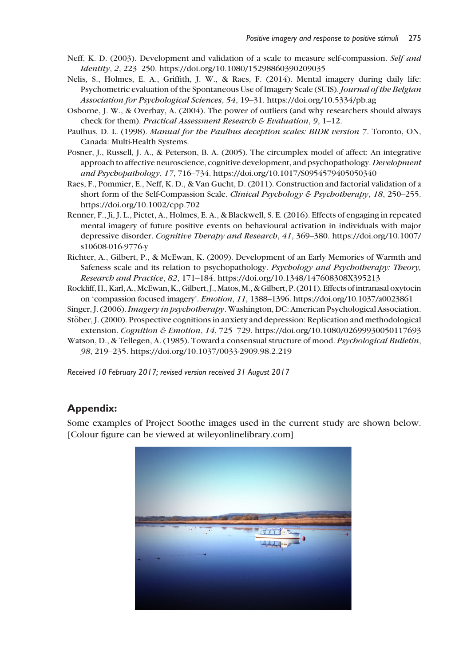- Neff, K. D. (2003). Development and validation of a scale to measure self-compassion. Self and Identity, 2, 223–250.<https://doi.org/10.1080/15298860390209035>
- Nelis, S., Holmes, E. A., Griffith, J. W., & Raes, F. (2014). Mental imagery during daily life: Psychometric evaluation of the Spontaneous Use of Imagery Scale (SUIS). Journal of the Belgian Association for Psychological Sciences, 54, 19–31.<https://doi.org/10.5334/pb.ag>
- Osborne, J. W., & Overbay, A. (2004). The power of outliers (and why researchers should always check for them). Practical Assessment Research & Evaluation, 9, 1–12.
- Paulhus, D. L. (1998). Manual for the Paulhus deception scales: BIDR version 7. Toronto, ON, Canada: Multi-Health Systems.
- Posner, J., Russell, J. A., & Peterson, B. A. (2005). The circumplex model of affect: An integrative approach to affective neuroscience, cognitive development, and psychopathology. Development and Psychopathology, 17, 716–734.<https://doi.org/10.1017/S0954579405050340>
- Raes, F., Pommier, E., Neff, K. D., & Van Gucht, D. (2011). Construction and factorial validation of a short form of the Self-Compassion Scale. Clinical Psychology & Psychotherapy, 18, 250–255. <https://doi.org/10.1002/cpp.702>
- Renner, F., Ji, J. L., Pictet, A., Holmes, E. A., & Blackwell, S. E. (2016). Effects of engaging in repeated mental imagery of future positive events on behavioural activation in individuals with major depressive disorder. Cognitive Therapy and Research, 41, 369–380. [https://doi.org/10.1007/](https://doi.org/10.1007/s10608-016-9776-y) [s10608-016-9776-y](https://doi.org/10.1007/s10608-016-9776-y)
- Richter, A., Gilbert, P., & McEwan, K. (2009). Development of an Early Memories of Warmth and Safeness scale and its relation to psychopathology. Psychology and Psychotherapy: Theory, Research and Practice, 82, 171–184.<https://doi.org/10.1348/147608308X395213>
- Rockliff, H.,Karl, A., McEwan,K., Gilbert, J.,Matos, M., & Gilbert, P. (2011). Effects ofintranasal oxytocin on 'compassion focused imagery'. Emotion, 11, 1388–1396.<https://doi.org/10.1037/a0023861>
- Singer, J. (2006). *Imagery in psychotherapy*. Washington, DC: American Psychological Association.
- Stöber, J. (2000). Prospective cognitions in anxiety and depression: Replication and methodological extension. Cognition & Emotion, 14, 725–729.<https://doi.org/10.1080/02699930050117693>
- Watson, D., & Tellegen, A. (1985). Toward a consensual structure of mood. Psychological Bulletin, 98, 219–235.<https://doi.org/10.1037/0033-2909.98.2.219>

Received 10 February 2017; revised version received 31 August 2017

## Appendix:

Some examples of Project Soothe images used in the current study are shown below. [Colour figure can be viewed at wileyonlinelibrary.com]